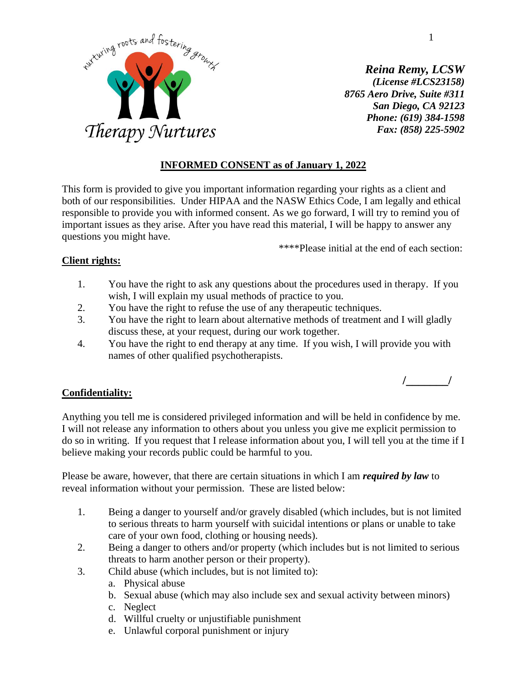

*Reina Remy, LCSW (License #LCS23158) 8765 Aero Drive, Suite #311 San Diego, CA 92123 Phone: (619) 384-1598 Fax: (858) 225-5902*

# **INFORMED CONSENT as of January 1, 2022**

This form is provided to give you important information regarding your rights as a client and both of our responsibilities. Under HIPAA and the NASW Ethics Code, I am legally and ethical responsible to provide you with informed consent. As we go forward, I will try to remind you of important issues as they arise. After you have read this material, I will be happy to answer any questions you might have.

\*\*\*\*Please initial at the end of each section:

# **Client rights:**

- 1. You have the right to ask any questions about the procedures used in therapy. If you wish, I will explain my usual methods of practice to you.
- 2. You have the right to refuse the use of any therapeutic techniques.
- 3. You have the right to learn about alternative methods of treatment and I will gladly discuss these, at your request, during our work together.
- 4. You have the right to end therapy at any time. If you wish, I will provide you with names of other qualified psychotherapists.

# **Confidentiality:**

Anything you tell me is considered privileged information and will be held in confidence by me. I will not release any information to others about you unless you give me explicit permission to do so in writing. If you request that I release information about you, I will tell you at the time if I believe making your records public could be harmful to you.

Please be aware, however, that there are certain situations in which I am *required by law* to reveal information without your permission. These are listed below:

- 1. Being a danger to yourself and/or gravely disabled (which includes, but is not limited to serious threats to harm yourself with suicidal intentions or plans or unable to take care of your own food, clothing or housing needs).
- 2. Being a danger to others and/or property (which includes but is not limited to serious threats to harm another person or their property).
- 3. Child abuse (which includes, but is not limited to):
	- a. Physical abuse
	- b. Sexual abuse (which may also include sex and sexual activity between minors)
	- c. Neglect
	- d. Willful cruelty or unjustifiable punishment
	- e. Unlawful corporal punishment or injury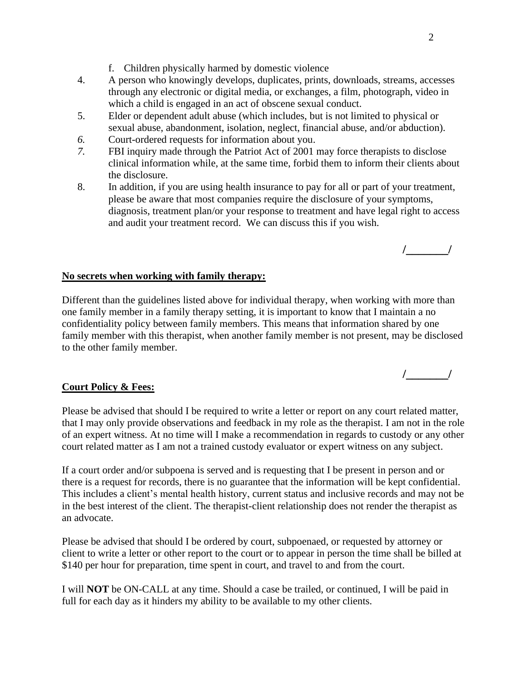**/\_\_\_\_\_\_\_/**

**/\_\_\_\_\_\_\_/**

- f. Children physically harmed by domestic violence
- 4. A person who knowingly develops, duplicates, prints, downloads, streams, accesses through any electronic or digital media, or exchanges, a film, photograph, video in which a child is engaged in an act of obscene sexual conduct.
- 5. Elder or dependent adult abuse (which includes, but is not limited to physical or sexual abuse, abandonment, isolation, neglect, financial abuse, and/or abduction).
- *6.* Court-ordered requests for information about you.
- *7.* FBI inquiry made through the Patriot Act of 2001 may force therapists to disclose clinical information while, at the same time, forbid them to inform their clients about the disclosure.
- 8. In addition, if you are using health insurance to pay for all or part of your treatment, please be aware that most companies require the disclosure of your symptoms, diagnosis, treatment plan/or your response to treatment and have legal right to access and audit your treatment record. We can discuss this if you wish.

### **No secrets when working with family therapy:**

Different than the guidelines listed above for individual therapy, when working with more than one family member in a family therapy setting, it is important to know that I maintain a no confidentiality policy between family members. This means that information shared by one family member with this therapist, when another family member is not present, may be disclosed to the other family member.

### **Court Policy & Fees:**

Please be advised that should I be required to write a letter or report on any court related matter, that I may only provide observations and feedback in my role as the therapist. I am not in the role of an expert witness. At no time will I make a recommendation in regards to custody or any other court related matter as I am not a trained custody evaluator or expert witness on any subject.

If a court order and/or subpoena is served and is requesting that I be present in person and or there is a request for records, there is no guarantee that the information will be kept confidential. This includes a client's mental health history, current status and inclusive records and may not be in the best interest of the client. The therapist-client relationship does not render the therapist as an advocate.

Please be advised that should I be ordered by court, subpoenaed, or requested by attorney or client to write a letter or other report to the court or to appear in person the time shall be billed at \$140 per hour for preparation, time spent in court, and travel to and from the court.

I will **NOT** be ON-CALL at any time. Should a case be trailed, or continued, I will be paid in full for each day as it hinders my ability to be available to my other clients.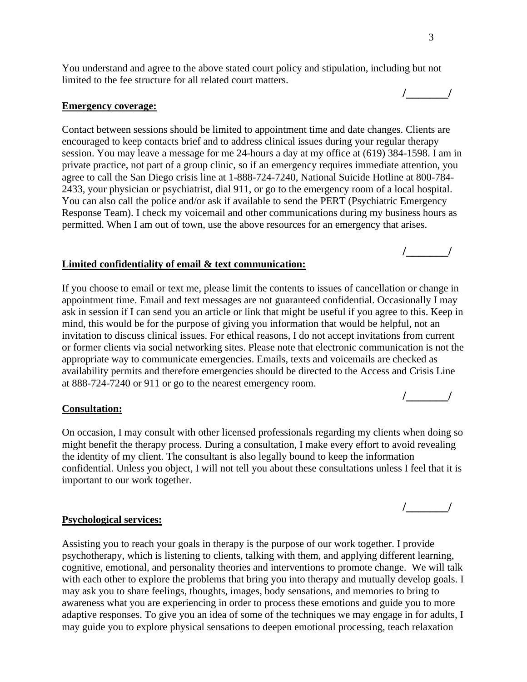**/\_\_\_\_\_\_\_/**

You understand and agree to the above stated court policy and stipulation, including but not limited to the fee structure for all related court matters.

#### **Emergency coverage:**

Contact between sessions should be limited to appointment time and date changes. Clients are encouraged to keep contacts brief and to address clinical issues during your regular therapy session. You may leave a message for me 24-hours a day at my office at (619) 384-1598. I am in private practice, not part of a group clinic, so if an emergency requires immediate attention, you agree to call the San Diego crisis line at 1-888-724-7240, National Suicide Hotline at 800-784- 2433, your physician or psychiatrist, dial 911, or go to the emergency room of a local hospital. You can also call the police and/or ask if available to send the PERT (Psychiatric Emergency Response Team). I check my voicemail and other communications during my business hours as permitted. When I am out of town, use the above resources for an emergency that arises.

#### **Limited confidentiality of email & text communication:**

If you choose to email or text me, please limit the contents to issues of cancellation or change in appointment time. Email and text messages are not guaranteed confidential. Occasionally I may ask in session if I can send you an article or link that might be useful if you agree to this. Keep in mind, this would be for the purpose of giving you information that would be helpful, not an invitation to discuss clinical issues. For ethical reasons, I do not accept invitations from current or former clients via social networking sites. Please note that electronic communication is not the appropriate way to communicate emergencies. Emails, texts and voicemails are checked as availability permits and therefore emergencies should be directed to the Access and Crisis Line at 888-724-7240 or 911 or go to the nearest emergency room.

#### **Consultation:**

On occasion, I may consult with other licensed professionals regarding my clients when doing so might benefit the therapy process. During a consultation, I make every effort to avoid revealing the identity of my client. The consultant is also legally bound to keep the information confidential. Unless you object, I will not tell you about these consultations unless I feel that it is important to our work together.

#### **Psychological services:**

Assisting you to reach your goals in therapy is the purpose of our work together. I provide psychotherapy, which is listening to clients, talking with them, and applying different learning, cognitive, emotional, and personality theories and interventions to promote change. We will talk with each other to explore the problems that bring you into therapy and mutually develop goals. I may ask you to share feelings, thoughts, images, body sensations, and memories to bring to awareness what you are experiencing in order to process these emotions and guide you to more adaptive responses. To give you an idea of some of the techniques we may engage in for adults, I may guide you to explore physical sensations to deepen emotional processing, teach relaxation

**/\_\_\_\_\_\_\_/**

**/\_\_\_\_\_\_\_/**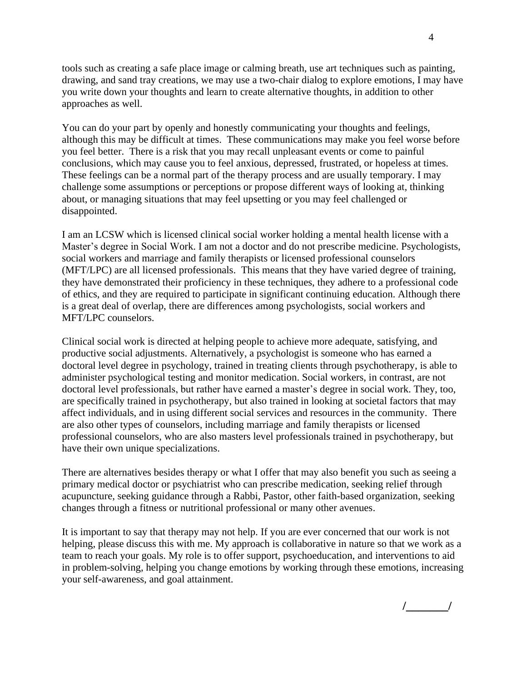tools such as creating a safe place image or calming breath, use art techniques such as painting, drawing, and sand tray creations, we may use a two-chair dialog to explore emotions, I may have you write down your thoughts and learn to create alternative thoughts, in addition to other approaches as well.

You can do your part by openly and honestly communicating your thoughts and feelings, although this may be difficult at times. These communications may make you feel worse before you feel better. There is a risk that you may recall unpleasant events or come to painful conclusions, which may cause you to feel anxious, depressed, frustrated, or hopeless at times. These feelings can be a normal part of the therapy process and are usually temporary. I may challenge some assumptions or perceptions or propose different ways of looking at, thinking about, or managing situations that may feel upsetting or you may feel challenged or disappointed.

I am an LCSW which is licensed clinical social worker holding a mental health license with a Master's degree in Social Work. I am not a doctor and do not prescribe medicine. Psychologists, social workers and marriage and family therapists or licensed professional counselors (MFT/LPC) are all licensed professionals. This means that they have varied degree of training, they have demonstrated their proficiency in these techniques, they adhere to a professional code of ethics, and they are required to participate in significant continuing education. Although there is a great deal of overlap, there are differences among psychologists, social workers and MFT/LPC counselors.

Clinical social work is directed at helping people to achieve more adequate, satisfying, and productive social adjustments. Alternatively, a psychologist is someone who has earned a doctoral level degree in psychology, trained in treating clients through psychotherapy, is able to administer psychological testing and monitor medication. Social workers, in contrast, are not doctoral level professionals, but rather have earned a master's degree in social work. They, too, are specifically trained in psychotherapy, but also trained in looking at societal factors that may affect individuals, and in using different social services and resources in the community. There are also other types of counselors, including marriage and family therapists or licensed professional counselors, who are also masters level professionals trained in psychotherapy, but have their own unique specializations.

There are alternatives besides therapy or what I offer that may also benefit you such as seeing a primary medical doctor or psychiatrist who can prescribe medication, seeking relief through acupuncture, seeking guidance through a Rabbi, Pastor, other faith-based organization, seeking changes through a fitness or nutritional professional or many other avenues.

It is important to say that therapy may not help. If you are ever concerned that our work is not helping, please discuss this with me. My approach is collaborative in nature so that we work as a team to reach your goals. My role is to offer support, psychoeducation, and interventions to aid in problem-solving, helping you change emotions by working through these emotions, increasing your self-awareness, and goal attainment.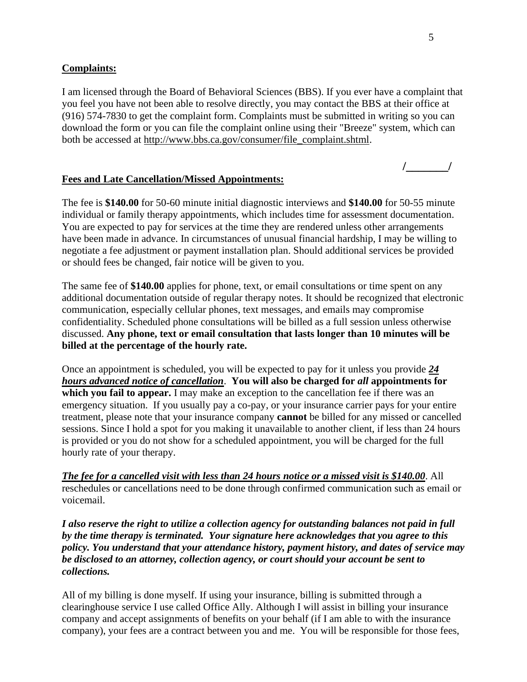### **Complaints:**

I am licensed through the Board of Behavioral Sciences (BBS). If you ever have a complaint that you feel you have not been able to resolve directly, you may contact the BBS at their office at (916) 574-7830 to get the complaint form. Complaints must be submitted in writing so you can download the form or you can file the complaint online using their "Breeze" system, which can both be accessed at [http://www.bbs.ca.gov/consumer/file\\_complaint.shtml.](http://www.bbs.ca.gov/consumer/file_complaint.shtml)

### **Fees and Late Cancellation/Missed Appointments:**

The fee is **\$140.00** for 50-60 minute initial diagnostic interviews and **\$140.00** for 50-55 minute individual or family therapy appointments, which includes time for assessment documentation. You are expected to pay for services at the time they are rendered unless other arrangements have been made in advance. In circumstances of unusual financial hardship, I may be willing to negotiate a fee adjustment or payment installation plan. Should additional services be provided or should fees be changed, fair notice will be given to you.

The same fee of **\$140.00** applies for phone, text, or email consultations or time spent on any additional documentation outside of regular therapy notes. It should be recognized that electronic communication, especially cellular phones, text messages, and emails may compromise confidentiality. Scheduled phone consultations will be billed as a full session unless otherwise discussed. **Any phone, text or email consultation that lasts longer than 10 minutes will be billed at the percentage of the hourly rate.** 

Once an appointment is scheduled, you will be expected to pay for it unless you provide *24 hours advanced notice of cancellation*. **You will also be charged for** *all* **appointments for which you fail to appear.** I may make an exception to the cancellation fee if there was an emergency situation. If you usually pay a co-pay, or your insurance carrier pays for your entire treatment, please note that your insurance company **cannot** be billed for any missed or cancelled sessions. Since I hold a spot for you making it unavailable to another client, if less than 24 hours is provided or you do not show for a scheduled appointment, you will be charged for the full hourly rate of your therapy.

*The fee for a cancelled visit with less than 24 hours notice or a missed visit is \$140.00*. All reschedules or cancellations need to be done through confirmed communication such as email or voicemail.

*I also reserve the right to utilize a collection agency for outstanding balances not paid in full by the time therapy is terminated. Your signature here acknowledges that you agree to this policy. You understand that your attendance history, payment history, and dates of service may be disclosed to an attorney, collection agency, or court should your account be sent to collections.*

All of my billing is done myself. If using your insurance, billing is submitted through a clearinghouse service I use called Office Ally. Although I will assist in billing your insurance company and accept assignments of benefits on your behalf (if I am able to with the insurance company), your fees are a contract between you and me. You will be responsible for those fees,